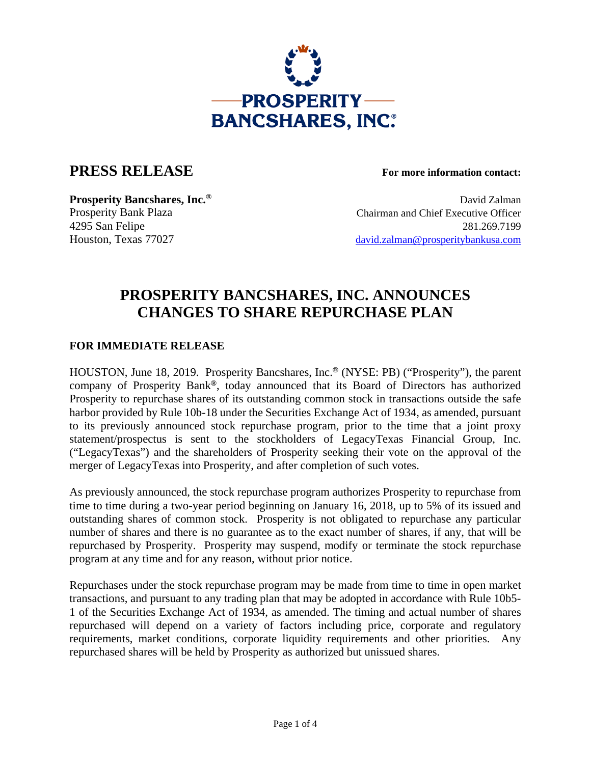

## **PRESS RELEASE For more information contact:**

**Prosperity Bancshares, Inc.<sup>®</sup> David Zalman** Prosperity Bank Plaza Chairman and Chief Executive Officer 4295 San Felipe 281.269.7199 Houston, Texas 77027 david.zalman@prosperitybankusa.com

# **PROSPERITY BANCSHARES, INC. ANNOUNCES CHANGES TO SHARE REPURCHASE PLAN**

### **FOR IMMEDIATE RELEASE**

HOUSTON, June 18, 2019. Prosperity Bancshares, Inc.**®** (NYSE: PB) ("Prosperity"), the parent company of Prosperity Bank**®**, today announced that its Board of Directors has authorized Prosperity to repurchase shares of its outstanding common stock in transactions outside the safe harbor provided by Rule 10b-18 under the Securities Exchange Act of 1934, as amended, pursuant to its previously announced stock repurchase program, prior to the time that a joint proxy statement/prospectus is sent to the stockholders of LegacyTexas Financial Group, Inc. ("LegacyTexas") and the shareholders of Prosperity seeking their vote on the approval of the merger of LegacyTexas into Prosperity, and after completion of such votes.

As previously announced, the stock repurchase program authorizes Prosperity to repurchase from time to time during a two-year period beginning on January 16, 2018, up to 5% of its issued and outstanding shares of common stock. Prosperity is not obligated to repurchase any particular number of shares and there is no guarantee as to the exact number of shares, if any, that will be repurchased by Prosperity. Prosperity may suspend, modify or terminate the stock repurchase program at any time and for any reason, without prior notice.

Repurchases under the stock repurchase program may be made from time to time in open market transactions, and pursuant to any trading plan that may be adopted in accordance with Rule 10b5- 1 of the Securities Exchange Act of 1934, as amended. The timing and actual number of shares repurchased will depend on a variety of factors including price, corporate and regulatory requirements, market conditions, corporate liquidity requirements and other priorities. Any repurchased shares will be held by Prosperity as authorized but unissued shares.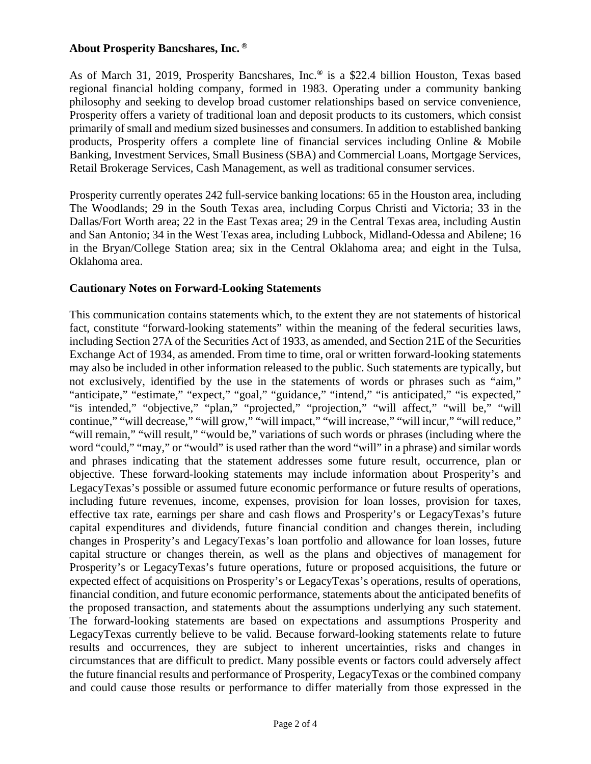#### **About Prosperity Bancshares, Inc. ®**

As of March 31, 2019, Prosperity Bancshares, Inc.**®** is a \$22.4 billion Houston, Texas based regional financial holding company, formed in 1983. Operating under a community banking philosophy and seeking to develop broad customer relationships based on service convenience, Prosperity offers a variety of traditional loan and deposit products to its customers, which consist primarily of small and medium sized businesses and consumers. In addition to established banking products, Prosperity offers a complete line of financial services including Online & Mobile Banking, Investment Services, Small Business (SBA) and Commercial Loans, Mortgage Services, Retail Brokerage Services, Cash Management, as well as traditional consumer services.

Prosperity currently operates 242 full-service banking locations: 65 in the Houston area, including The Woodlands; 29 in the South Texas area, including Corpus Christi and Victoria; 33 in the Dallas/Fort Worth area; 22 in the East Texas area; 29 in the Central Texas area, including Austin and San Antonio; 34 in the West Texas area, including Lubbock, Midland-Odessa and Abilene; 16 in the Bryan/College Station area; six in the Central Oklahoma area; and eight in the Tulsa, Oklahoma area.

#### **Cautionary Notes on Forward-Looking Statements**

This communication contains statements which, to the extent they are not statements of historical fact, constitute "forward-looking statements" within the meaning of the federal securities laws, including Section 27A of the Securities Act of 1933, as amended, and Section 21E of the Securities Exchange Act of 1934, as amended. From time to time, oral or written forward-looking statements may also be included in other information released to the public. Such statements are typically, but not exclusively, identified by the use in the statements of words or phrases such as "aim," "anticipate," "estimate," "expect," "goal," "guidance," "intend," "is anticipated," "is expected," "is intended," "objective," "plan," "projected," "projection," "will affect," "will be," "will continue," "will decrease," "will grow," "will impact," "will increase," "will incur," "will reduce," "will remain," "will result," "would be," variations of such words or phrases (including where the word "could," "may," or "would" is used rather than the word "will" in a phrase) and similar words and phrases indicating that the statement addresses some future result, occurrence, plan or objective. These forward-looking statements may include information about Prosperity's and LegacyTexas's possible or assumed future economic performance or future results of operations, including future revenues, income, expenses, provision for loan losses, provision for taxes, effective tax rate, earnings per share and cash flows and Prosperity's or LegacyTexas's future capital expenditures and dividends, future financial condition and changes therein, including changes in Prosperity's and LegacyTexas's loan portfolio and allowance for loan losses, future capital structure or changes therein, as well as the plans and objectives of management for Prosperity's or LegacyTexas's future operations, future or proposed acquisitions, the future or expected effect of acquisitions on Prosperity's or LegacyTexas's operations, results of operations, financial condition, and future economic performance, statements about the anticipated benefits of the proposed transaction, and statements about the assumptions underlying any such statement. The forward-looking statements are based on expectations and assumptions Prosperity and LegacyTexas currently believe to be valid. Because forward-looking statements relate to future results and occurrences, they are subject to inherent uncertainties, risks and changes in circumstances that are difficult to predict. Many possible events or factors could adversely affect the future financial results and performance of Prosperity, LegacyTexas or the combined company and could cause those results or performance to differ materially from those expressed in the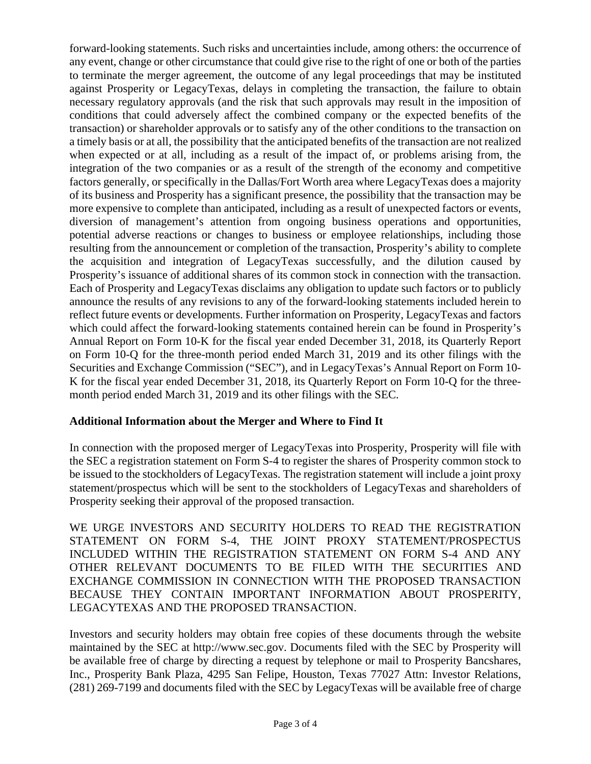forward-looking statements. Such risks and uncertainties include, among others: the occurrence of any event, change or other circumstance that could give rise to the right of one or both of the parties to terminate the merger agreement, the outcome of any legal proceedings that may be instituted against Prosperity or LegacyTexas, delays in completing the transaction, the failure to obtain necessary regulatory approvals (and the risk that such approvals may result in the imposition of conditions that could adversely affect the combined company or the expected benefits of the transaction) or shareholder approvals or to satisfy any of the other conditions to the transaction on a timely basis or at all, the possibility that the anticipated benefits of the transaction are not realized when expected or at all, including as a result of the impact of, or problems arising from, the integration of the two companies or as a result of the strength of the economy and competitive factors generally, or specifically in the Dallas/Fort Worth area where LegacyTexas does a majority of its business and Prosperity has a significant presence, the possibility that the transaction may be more expensive to complete than anticipated, including as a result of unexpected factors or events, diversion of management's attention from ongoing business operations and opportunities, potential adverse reactions or changes to business or employee relationships, including those resulting from the announcement or completion of the transaction, Prosperity's ability to complete the acquisition and integration of LegacyTexas successfully, and the dilution caused by Prosperity's issuance of additional shares of its common stock in connection with the transaction. Each of Prosperity and LegacyTexas disclaims any obligation to update such factors or to publicly announce the results of any revisions to any of the forward-looking statements included herein to reflect future events or developments. Further information on Prosperity, LegacyTexas and factors which could affect the forward-looking statements contained herein can be found in Prosperity's Annual Report on Form 10-K for the fiscal year ended December 31, 2018, its Quarterly Report on Form 10-Q for the three-month period ended March 31, 2019 and its other filings with the Securities and Exchange Commission ("SEC"), and in LegacyTexas's Annual Report on Form 10- K for the fiscal year ended December 31, 2018, its Quarterly Report on Form 10-Q for the threemonth period ended March 31, 2019 and its other filings with the SEC.

#### **Additional Information about the Merger and Where to Find It**

In connection with the proposed merger of LegacyTexas into Prosperity, Prosperity will file with the SEC a registration statement on Form S-4 to register the shares of Prosperity common stock to be issued to the stockholders of LegacyTexas. The registration statement will include a joint proxy statement/prospectus which will be sent to the stockholders of LegacyTexas and shareholders of Prosperity seeking their approval of the proposed transaction.

WE URGE INVESTORS AND SECURITY HOLDERS TO READ THE REGISTRATION STATEMENT ON FORM S-4, THE JOINT PROXY STATEMENT/PROSPECTUS INCLUDED WITHIN THE REGISTRATION STATEMENT ON FORM S-4 AND ANY OTHER RELEVANT DOCUMENTS TO BE FILED WITH THE SECURITIES AND EXCHANGE COMMISSION IN CONNECTION WITH THE PROPOSED TRANSACTION BECAUSE THEY CONTAIN IMPORTANT INFORMATION ABOUT PROSPERITY, LEGACYTEXAS AND THE PROPOSED TRANSACTION.

Investors and security holders may obtain free copies of these documents through the website maintained by the SEC at http://www.sec.gov. Documents filed with the SEC by Prosperity will be available free of charge by directing a request by telephone or mail to Prosperity Bancshares, Inc., Prosperity Bank Plaza, 4295 San Felipe, Houston, Texas 77027 Attn: Investor Relations, (281) 269-7199 and documents filed with the SEC by LegacyTexas will be available free of charge